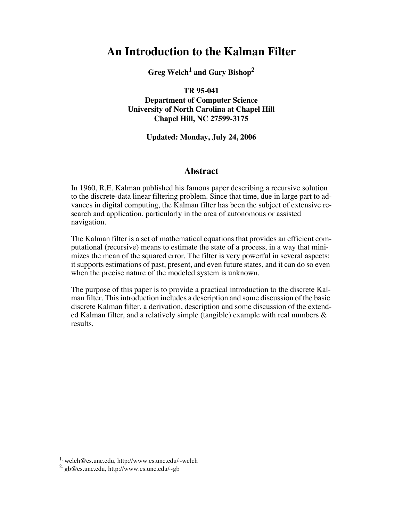# **An Introduction to the Kalman Filter**

**Greg Welch1 and Gary Bishop2**

**TR 95-041**

**Department of Computer Science University of North Carolina at Chapel Hill Chapel Hill, NC 27599-3175**

### **Updated: Monday, July 24, 2006**

### **Abstract**

In 1960, R.E. Kalman published his famous paper describing a recursive solution to the discrete-data linear filtering problem. Since that time, due in large part to advances in digital computing, the Kalman filter has been the subject of extensive research and application, particularly in the area of autonomous or assisted navigation.

The Kalman filter is a set of mathematical equations that provides an efficient computational (recursive) means to estimate the state of a process, in a way that minimizes the mean of the squared error. The filter is very powerful in several aspects: it supports estimations of past, present, and even future states, and it can do so even when the precise nature of the modeled system is unknown.

The purpose of this paper is to provide a practical introduction to the discrete Kalman filter. This introduction includes a description and some discussion of the basic discrete Kalman filter, a derivation, description and some discussion of the extended Kalman filter, and a relatively simple (tangible) example with real numbers & results.

<sup>1.</sup> welch@cs.unc.edu, http://www.cs.unc.edu/~welch

<sup>2.</sup> gb@cs.unc.edu, http://www.cs.unc.edu/~gb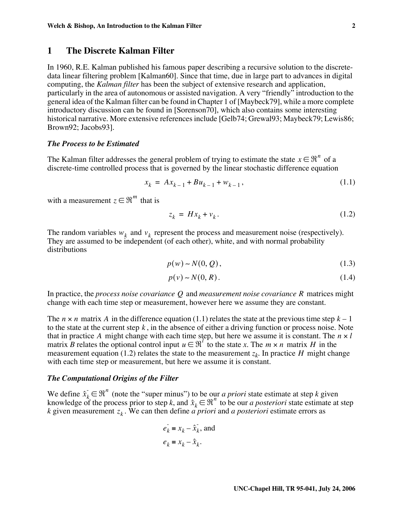### **1 The Discrete Kalman Filter**

In 1960, R.E. Kalman published his famous paper describing a recursive solution to the discretedata linear filtering problem [Kalman60]. Since that time, due in large part to advances in digital computing, the *Kalman filter* has been the subject of extensive research and application, particularly in the area of autonomous or assisted navigation. A very "friendly" introduction to the general idea of the Kalman filter can be found in Chapter 1 of [Maybeck79], while a more complete introductory discussion can be found in [Sorenson70], which also contains some interesting historical narrative. More extensive references include [Gelb74; Grewal93; Maybeck79; Lewis86; Brown92; Jacobs93].

#### *The Process to be Estimated*

The Kalman filter addresses the general problem of trying to estimate the state  $x \in \mathfrak{R}^n$  of a discrete-time controlled process that is governed by the linear stochastic difference equation

$$
x_k = Ax_{k-1} + Bu_{k-1} + w_{k-1}, \tag{1.1}
$$

with a measurement  $z \in \mathbb{R}^m$  that is

$$
z_k = Hx_k + v_k. \tag{1.2}
$$

The random variables  $w_k$  and  $v_k$  represent the process and measurement noise (respectively). They are assumed to be independent (of each other), white, and with normal probability distributions

$$
p(w) \sim N(0, Q), \tag{1.3}
$$

$$
p(v) \sim N(0, R). \tag{1.4}
$$

In practice, the *process noise covariance*  $Q$  and *measurement noise covariance*  $R$  matrices might change with each time step or measurement, however here we assume they are constant.

The  $n \times n$  matrix A in the difference equation (1.1) relates the state at the previous time step  $k - 1$ to the state at the current step  $k$ , in the absence of either a driving function or process noise. Note that in practice A might change with each time step, but here we assume it is constant. The  $n \times l$ matrix *B* relates the optional control input  $u \in \mathbb{R}^l$  to the state *x*. The  $m \times n$  matrix *H* in the measurement equation (1.2) relates the state to the measurement  $z_k$ . In practice H might change with each time step or measurement, but here we assume it is constant.

### *The Computational Origins of the Filter*

We define  $\hat{x}_k \in \mathbb{R}^n$  (note the "super minus") to be our *a priori* state estimate at step *k* given knowledge of the process prior to step k, and  $\hat{x}_k \in \Re^n$  to be our *a posteriori* state estimate at step  $k$  given measurement  $z_k$ . We can then define *a priori* and *a posteriori* estimate errors as  $\hat{x}_k \in \Re^n$  $\hat{x}_k \in \Re^n$ *zk*

$$
e_k = x_k - \hat{x}_k, \text{ and}
$$
  

$$
e_k = x_k - \hat{x}_k.
$$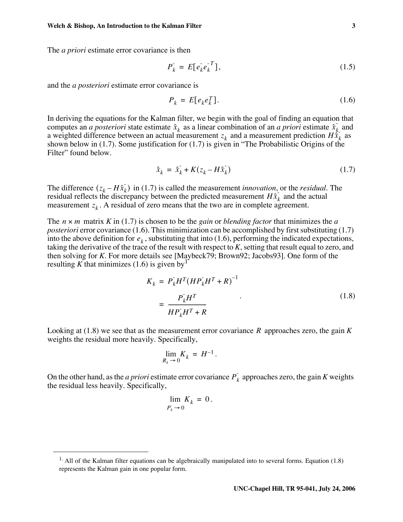The *a priori* estimate error covariance is then

$$
P_k^- = E[e_k^- e_k^{-T}], \tag{1.5}
$$

and the *a posteriori* estimate error covariance is

$$
P_k = E[e_k e_k^T]. \tag{1.6}
$$

In deriving the equations for the Kalman filter, we begin with the goal of finding an equation that computes an *a posteriori* state estimate  $\hat{x}_k$  as a linear combination of an *a priori* estimate  $\hat{x}_k$  and a weighted difference between an actual measurement  $z_k$  and a measurement prediction  $H\hat{x}_k$  as a weighted difference between an actual measurement  $z_k$  and a measurement prediction  $H\hat{x}_k$ shown below in (1.7). Some justification for (1.7) is given in "The Probabilistic Origins of the Filter" found below.

$$
\hat{x}_k = \hat{x}_k + K(z_k - H\hat{x}_k) \tag{1.7}
$$

The difference  $(z_k - H\hat{x}_k)$  in (1.7) is called the measurement *innovation*, or the *residual*. The residual reflects the discrepancy between the predicted measurement  $H\hat{x}_k$  and the actual measurement  $z_k$ . A residual of zero means that the two are in complete agreement.

The  $n \times m$  matrix  $K$  in (1.7) is chosen to be the *gain* or *blending factor* that minimizes the  $a$ *posteriori* error covariance (1.6). This minimization can be accomplished by first substituting (1.7) into the above definition for  $e_k$ , substituting that into (1.6), performing the indicated expectations, taking the derivative of the trace of the result with respect to *K*, setting that result equal to zero, and then solving for *K*. For more details see [Maybeck79; Brown92; Jacobs93]. One form of the resulting K that minimizes  $(1.6)$  is given by<sup>1</sup>

$$
K_k = P_k H^T (H P_k H^T + R)^{-1}
$$
  
= 
$$
\frac{P_k H^T}{H P_k H^T + R}
$$
 (1.8)

Looking at  $(1.8)$  we see that as the measurement error covariance R approaches zero, the gain K weights the residual more heavily. Specifically,

.

$$
\lim_{R_k \to 0} K_k = H^{-1}
$$

On the other hand, as the *a priori* estimate error covariance  $P_k$  approaches zero, the gain *K* weights the residual less heavily. Specifically,

$$
\lim_{P_k \to 0} K_k = 0.
$$

<sup>&</sup>lt;sup>1.</sup> All of the Kalman filter equations can be algebraically manipulated into to several forms. Equation (1.8) represents the Kalman gain in one popular form.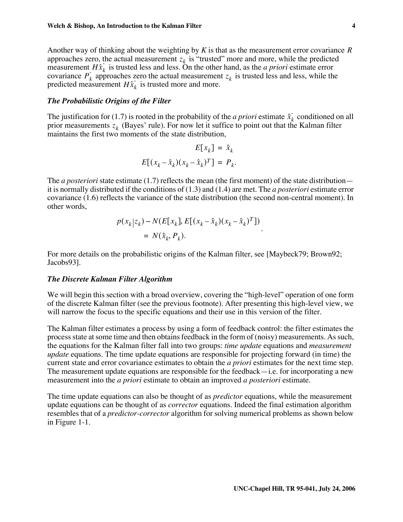Another way of thinking about the weighting by *K* is that as the measurement error covariance *R* approaches zero, the actual measurement  $z_k$  is "trusted" more and more, while the predicted measurement  $H\hat{x}_k$  is trusted less and less. On the other hand, as the *a priori* estimate error covariance  $P_k$  approaches zero the actual measurement  $z_k$  is trusted less and less, while the predicted measurement  $H\hat{x}_k$  is trusted more and more.

#### *The Probabilistic Origins of the Filter*

The justification for (1.7) is rooted in the probability of the *a priori* estimate  $\hat{x}_k$  conditioned on all prior measurements  $z_k$  (Bayes' rule). For now let it suffice to point out that the Kalman filter maintains the first two moments of the state distribution,

$$
E[x_k] = \hat{x}_k
$$
  

$$
E[(x_k - \hat{x}_k)(x_k - \hat{x}_k)^T] = P_k.
$$

The *a posteriori* state estimate (1.7) reflects the mean (the first moment) of the state distribution it is normally distributed if the conditions of (1.3) and (1.4) are met. The *a posteriori* estimate error covariance (1.6) reflects the variance of the state distribution (the second non-central moment). In other words,

$$
p(x_k|z_k) \sim N(E[x_k], E[(x_k - \hat{x}_k)(x_k - \hat{x}_k)^T])
$$
  
=  $N(\hat{x}_k, P_k)$ .

For more details on the probabilistic origins of the Kalman filter, see [Maybeck79; Brown92; Jacobs93].

#### *The Discrete Kalman Filter Algorithm*

We will begin this section with a broad overview, covering the "high-level" operation of one form of the discrete Kalman filter (see the previous footnote). After presenting this high-level view, we will narrow the focus to the specific equations and their use in this version of the filter.

The Kalman filter estimates a process by using a form of feedback control: the filter estimates the process state at some time and then obtains feedback in the form of (noisy) measurements. As such, the equations for the Kalman filter fall into two groups: *time update* equations and *measurement update* equations. The time update equations are responsible for projecting forward (in time) the current state and error covariance estimates to obtain the *a priori* estimates for the next time step. The measurement update equations are responsible for the feedback—i.e. for incorporating a new measurement into the *a priori* estimate to obtain an improved *a posteriori* estimate.

The time update equations can also be thought of as *predictor* equations, while the measurement update equations can be thought of as *corrector* equations. Indeed the final estimation algorithm resembles that of a *predictor-corrector* algorithm for solving numerical problems as shown below in Figure 1-1.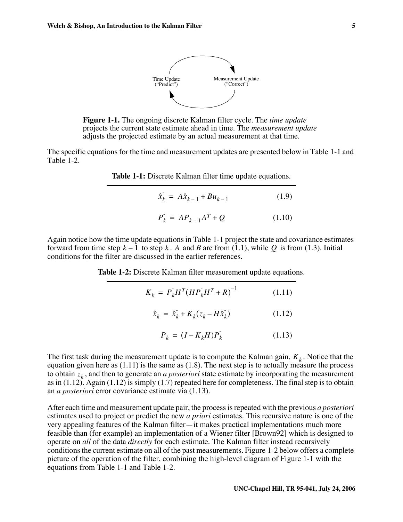

**Figure 1-1.** The ongoing discrete Kalman filter cycle. The *time update* projects the current state estimate ahead in time. The *measurement update* adjusts the projected estimate by an actual measurement at that time.

The specific equations for the time and measurement updates are presented below in Table 1-1 and Table 1-2.

**Table 1-1:** Discrete Kalman filter time update equations.

| $\hat{x}_k = A\hat{x}_{k-1} + Bu_{k-1}$ | (1.9)  |
|-----------------------------------------|--------|
| $P_k = AP_{k-1}A^T + Q$                 | (1.10) |

Again notice how the time update equations in Table 1-1 project the state and covariance estimates forward from time step  $k - 1$  to step k. A and B are from (1.1), while Q is from (1.3). Initial conditions for the filter are discussed in the earlier references.

**Table 1-2:** Discrete Kalman filter measurement update equations.

$$
K_k = P_k H^T (H P_k H^T + R)^{-1}
$$
 (1.11)

$$
\hat{x}_k = \hat{x}_k + K_k (z_k - H\hat{x}_k)
$$
\n(1.12)

$$
P_k = (I - K_k H)P_k \tag{1.13}
$$

The first task during the measurement update is to compute the Kalman gain,  $K_k$ . Notice that the equation given here as  $(1.11)$  is the same as  $(1.8)$ . The next step is to actually measure the process to obtain  $z_k$ , and then to generate an *a posteriori* state estimate by incorporating the measurement as in  $(1.12)$ . Again  $(1.12)$  is simply  $(1.7)$  repeated here for completeness. The final step is to obtain an *a posteriori* error covariance estimate via (1.13).

After each time and measurement update pair, the process is repeated with the previous *a posteriori* estimates used to project or predict the new *a priori* estimates. This recursive nature is one of the very appealing features of the Kalman filter—it makes practical implementations much more feasible than (for example) an implementation of a Wiener filter [Brown92] which is designed to operate on *all* of the data *directly* for each estimate. The Kalman filter instead recursively conditions the current estimate on all of the past measurements. Figure 1-2 below offers a complete picture of the operation of the filter, combining the high-level diagram of Figure 1-1 with the equations from Table 1-1 and Table 1-2.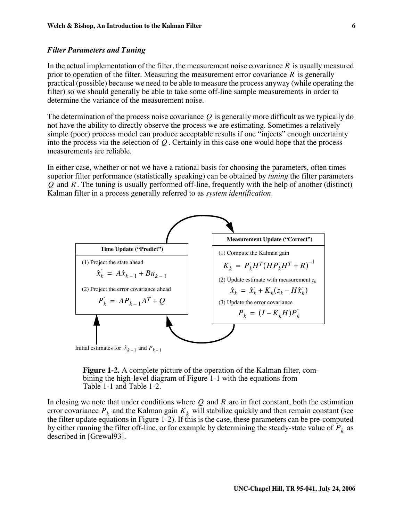### *Filter Parameters and Tuning*

In the actual implementation of the filter, the measurement noise covariance  $R$  is usually measured prior to operation of the filter. Measuring the measurement error covariance  $R$  is generally practical (possible) because we need to be able to measure the process anyway (while operating the filter) so we should generally be able to take some off-line sample measurements in order to determine the variance of the measurement noise.

The determination of the process noise covariance  $Q$  is generally more difficult as we typically do not have the ability to directly observe the process we are estimating. Sometimes a relatively simple (poor) process model can produce acceptable results if one "injects" enough uncertainty into the process via the selection of  $Q$ . Certainly in this case one would hope that the process measurements are reliable.

In either case, whether or not we have a rational basis for choosing the parameters, often times superior filter performance (statistically speaking) can be obtained by *tuning* the filter parameters  $Q$  and  $R$ . The tuning is usually performed off-line, frequently with the help of another (distinct) Kalman filter in a process generally referred to as *system identification*.





In closing we note that under conditions where  $Q$  and  $R$  are in fact constant, both the estimation error covariance  $P_k$  and the Kalman gain  $K_k$  will stabilize quickly and then remain constant (see the filter update equations in Figure 1-2). If this is the case, these parameters can be pre-computed by either running the filter of f-line, or for example by determining the steady-state value of  $P_k$  as described in [Grewal93].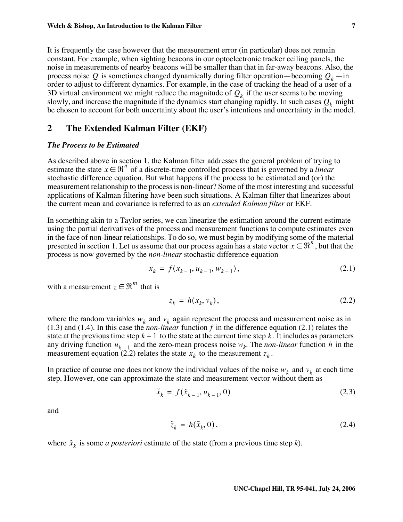It is frequently the case however that the measurement error (in particular) does not remain constant. For example, when sighting beacons in our optoelectronic tracker ceiling panels, the noise in measurements of nearby beacons will be smaller than that in far-away beacons. Also, the process noise Q is sometimes changed dynamically during filter operation—becoming  $Q_k$ —in order to adjust to different dynamics. For example, in the case of tracking the head of a user of a 3D virtual environment we might reduce the magnitude of  $Q_k$  if the user seems to be moving slowly, and increase the magnitude if the dynamics start changing rapidly. In such cases  $Q_k$  might be chosen to account for both uncertainty about the user's intentions and uncertainty in the model.

### **2 The Extended Kalman Filter (EKF)**

### *The Process to be Estimated*

As described above in section 1, the Kalman filter addresses the general problem of trying to estimate the state  $x \in \Re^n$  of a discrete-time controlled process that is governed by a *linear* stochastic difference equation. But what happens if the process to be estimated and (or) the measurement relationship to the process is non-linear? Some of the most interesting and successful applications of Kalman filtering have been such situations. A Kalman filter that linearizes about the current mean and covariance is referred to as an *extended Kalman filter* or EKF.

In something akin to a Taylor series, we can linearize the estimation around the current estimate using the partial derivatives of the process and measurement functions to compute estimates even in the face of non-linear relationships. To do so, we must begin by modifying some of the material presented in section 1. Let us assume that our process again has a state vector  $x \in \mathbb{R}^n$ , but that the process is now governed by the *non-linear* stochastic difference equation

$$
x_k = f(x_{k-1}, u_{k-1}, w_{k-1}),
$$
\n(2.1)

with a measurement  $z \in \Re^m$  that is

$$
z_k = h(x_k, v_k), \tag{2.2}
$$

where the random variables  $w_k$  and  $v_k$  again represent the process and measurement noise as in  $(1.3)$  and  $(1.4)$ . In this case the *non-linear* function f in the difference equation  $(2.1)$  relates the state at the previous time step  $k-1$  to the state at the current time step  $k$ . It includes as parameters any driving function  $u_{k-1}$  and the zero-mean process noise  $w_k$ . The *non-linear* function h in the measurement equation (2.2) relates the state  $x_k$  to the measurement  $z_k$ .

In practice of course one does not know the individual values of the noise  $w_k$  and  $v_k$  at each time step. However, one can approximate the state and measurement vector without them as

$$
\tilde{x}_k = f(\hat{x}_{k-1}, u_{k-1}, 0) \tag{2.3}
$$

and

$$
\tilde{z}_k = h(\tilde{x}_k, 0),\tag{2.4}
$$

where  $\hat{x}_k$  is some *a posteriori* estimate of the state (from a previous time step *k*).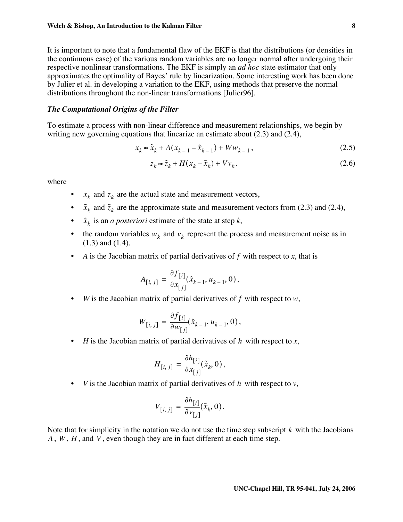It is important to note that a fundamental flaw of the EKF is that the distributions (or densities in the continuous case) of the various random variables are no longer normal after undergoing their respective nonlinear transformations. The EKF is simply an *ad hoc* state estimator that only approximates the optimality of Bayes' rule by linearization. Some interesting work has been done by Julier et al. in developing a variation to the EKF, using methods that preserve the normal distributions throughout the non-linear transformations [Julier96].

### *The Computational Origins of the Filter*

To estimate a process with non-linear difference and measurement relationships, we begin by writing new governing equations that linearize an estimate about (2.3) and (2.4),

$$
x_k \approx \tilde{x}_k + A(x_{k-1} - \hat{x}_{k-1}) + Ww_{k-1},
$$
\n(2.5)

$$
z_k \approx \tilde{z}_k + H(x_k - \tilde{x}_k) + Vv_k. \tag{2.6}
$$

where

- $x_k$  and  $z_k$  are the actual state and measurement vectors,
- $\tilde{x}_k$  and  $\tilde{z}_k$  are the approximate state and measurement vectors from (2.3) and (2.4),
- $\hat{x}_k$  is an *a posteriori* estimate of the state at step *k*,
- the random variables  $w_k$  and  $v_k$  represent the process and measurement noise as in (1.3) and (1.4).
- A is the Jacobian matrix of partial derivatives of  $f$  with respect to  $x$ , that is

$$
A_{[i, j]} = \frac{\partial f_{[i]}}{\partial x_{[j]}} (\hat{x}_{k-1}, u_{k-1}, 0),
$$

• *W* is the Jacobian matrix of partial derivatives of  $f$  with respect to  $w$ ,

$$
W_{[i, j]} = \frac{\partial f_{[i]}}{\partial w_{[j]}} (\hat{x}_{k-1}, u_{k-1}, 0),
$$

• *H* is the Jacobian matrix of partial derivatives of  $h$  with respect to  $x$ ,

$$
H_{[i, j]} = \frac{\partial h_{[i]}}{\partial x_{[j]}}(\tilde{x}_k, 0),
$$

• *V* is the Jacobian matrix of partial derivatives of  $h$  with respect to  $v$ ,

$$
V_{[i, j]} = \frac{\partial h_{[i]}}{\partial v_{[j]}} (\tilde{x}_k, 0).
$$

Note that for simplicity in the notation we do not use the time step subscript  $k$  with the Jacobians  $A$ ,  $W$ ,  $H$ , and  $V$ , even though they are in fact different at each time step.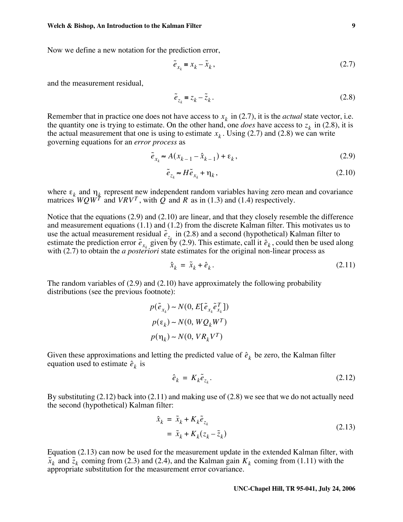Now we define a new notation for the prediction error,

$$
\tilde{e}_{x_k} = x_k - \tilde{x}_k, \qquad (2.7)
$$

and the measurement residual,

$$
\tilde{e}_{z_k} = z_k - \tilde{z}_k. \tag{2.8}
$$

Remember that in practice one does not have access to  $x_k$  in (2.7), it is the *actual* state vector, i.e. the quantity one is trying to estimate. On the other hand, one *does* have access to  $z_k$  in (2.8), it is the actual measurement that one is using to estimate  $x_k$ . Using (2.7) and (2.8) we can write governing equations for an *error process* as

$$
\tilde{e}_{x_k} \approx A(x_{k-1} - \hat{x}_{k-1}) + \varepsilon_k, \tag{2.9}
$$

$$
\tilde{e}_{z_k} \approx H \tilde{e}_{x_k} + \eta_k, \qquad (2.10)
$$

where  $\varepsilon_k$  and  $\eta_k$  represent new independent random variables having zero mean and covariance matrices  $WQW^{T}$  and  $VRV^{T}$ , with Q and R as in (1.3) and (1.4) respectively.  $\epsilon_k$  and  $\eta_k$  $WQW^T$  and  $VRV^T$ , with Q and R

Notice that the equations (2.9) and (2.10) are linear, and that they closely resemble the difference and measurement equations (1.1) and (1.2) from the discrete Kalman filter. This motivates us to use the actual measurement residual  $\tilde{e}_{z_k}$  in (2.8) and a second (hypothetical) Kalman filter to estimate the prediction error  $\tilde{e}_{x_k}$  given by (2.9). This estimate, call it  $\hat{e}_k$ , could then be used along with (2.7) to obtain the *a posteriori* state estimates for the original non-linear process as

$$
\hat{x}_k = \tilde{x}_k + \hat{e}_k. \tag{2.11}
$$

The random variables of (2.9) and (2.10) have approximately the following probability distributions (see the previous footnote):

$$
p(\tilde{e}_{x_k}) \sim N(0, E[\tilde{e}_{x_k}\tilde{e}_{x_k}^T])
$$
  

$$
p(\varepsilon_k) \sim N(0, WQ_kW^T)
$$
  

$$
p(\eta_k) \sim N(0, VR_kV^T)
$$

Given these approximations and letting the predicted value of  $\hat{e}_k$  be zero, the Kalman filter equation used to estimate  $\hat{e}_k$  is

$$
\hat{e}_k = K_k \tilde{e}_{z_k}.
$$
\n(2.12)

By substituting (2.12) back into (2.11) and making use of (2.8) we see that we do not actually need the second (hypothetical) Kalman filter:

$$
\begin{aligned} \hat{x}_k &= \tilde{x}_k + K_k \tilde{e}_{z_k} \\ &= \tilde{x}_k + K_k (z_k - \tilde{z}_k) \end{aligned} \tag{2.13}
$$

Equation (2.13) can now be used for the measurement update in the extended Kalman filter, with  $\tilde{x}_k$  and  $\tilde{z}_k$  coming from (2.3) and (2.4), and the Kalman gain  $K_k$  coming from (1.11) with the appropriate substitution for the measurement error covariance.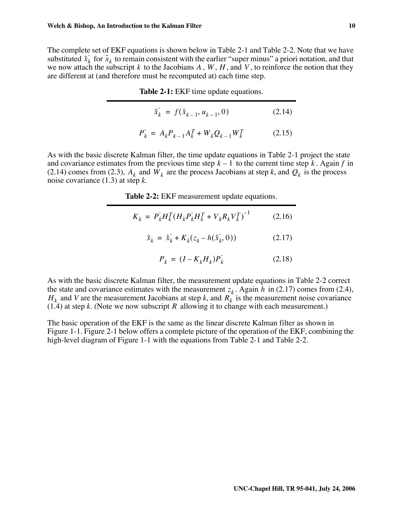The complete set of EKF equations is shown below in Table 2-1 and Table 2-2. Note that we have substituted  $\hat{x}_k$  for  $\tilde{x}_k$  to remain consistent with the earlier "super minus" a priori notation, and that we now attach the subscript k to the Jacobians A,  $W$ ,  $H$ , and V, to reinforce the notion that they are different at (and therefore must be recomputed at) each time step.

**Table 2-1:** EKF time update equations.

$$
\hat{x}_{k} = f(\hat{x}_{k-1}, u_{k-1}, 0) \tag{2.14}
$$

$$
P_k^- = A_k P_{k-1} A_k^T + W_k Q_{k-1} W_k^T
$$
 (2.15)

As with the basic discrete Kalman filter, the time update equations in Table 2-1 project the state and covariance estimates from the previous time step  $k - 1$  to the current time step k. Again f in (2.14) comes from (2.3),  $A_k$  and  $W_k$  are the process Jacobians at step *k*, and  $Q_k$  is the process noise covariance (1.3) at step *k*.

**Table 2-2:** EKF measurement update equations.

| $K_k = P_k^{\dagger} H_k^T (H_k^{\dagger} P_k^{\dagger} H_k^T + V_k^{\dagger} R_k^{\dagger} V_k^T)^{-1}$ | (2.16) |
|----------------------------------------------------------------------------------------------------------|--------|
|----------------------------------------------------------------------------------------------------------|--------|

$$
\hat{x}_{k} = \hat{x}_{k} + K_{k}(z_{k} - h(\hat{x}_{k}^{\dagger}, 0))
$$
\n(2.17)

$$
P_k = (I - K_k H_k) P_k \tag{2.18}
$$

As with the basic discrete Kalman filter, the measurement update equations in Table 2-2 correct the state and covariance estimates with the measurement  $z_k$ . Again h in (2.17) comes from (2.4),  $H_k$  and *V* are the measurement Jacobians at step *k*, and  $R_k$  is the measurement noise covariance  $(1.4)$  at step *k*. (Note we now subscript *R* allowing it to change with each measurement.)

The basic operation of the EKF is the same as the linear discrete Kalman filter as shown in Figure 1-1. Figure 2-1 below offers a complete picture of the operation of the EKF, combining the high-level diagram of Figure 1-1 with the equations from Table 2-1 and Table 2-2.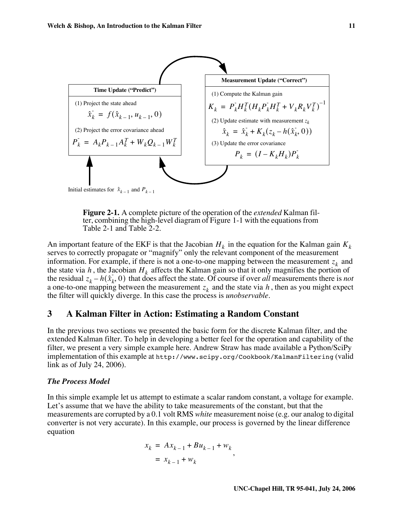

**Figure 2-1.** A complete picture of the operation of the *extended* Kalman filter, combining the high-level diagram of Figure 1-1 with the equations from Table 2-1 and Table 2-2.

An important feature of the EKF is that the Jacobian  $H_k$  in the equation for the Kalman gain  $K_k$ serves to correctly propagate or "magnify" only the relevant component of the measurement information. For example, if there is not a one-to-one mapping between the measurement  $z_k$  and the state via h, the Jacobian  $H_k$  affects the Kalman gain so that it only magnifies the portion of the residual  $z_k - h(\hat{x}_k, 0)$  that does affect the state. Of course if over *all* measurements there is *not* a one-to-one mapping between the measurement  $z_k$  and the state via h, then as you might expect the filter will quickly diverge. In this case the process is *unobservable.*

### **3 A Kalman Filter in Action: Estimating a Random Constant**

In the previous two sections we presented the basic form for the discrete Kalman filter, and the extended Kalman filter. To help in developing a better feel for the operation and capability of the filter, we present a very simple example here. Andrew Straw has made available a Python/SciPy implementation of this example at http://www.scipy.org/Cookbook/KalmanFiltering (valid link as of July 24, 2006).

### *The Process Model*

In this simple example let us attempt to estimate a scalar random constant, a voltage for example. Let's assume that we have the ability to take measurements of the constant, but that the measurements are corrupted by a 0.1 volt RMS *white* measurement noise (e.g. our analog to digital converter is not very accurate). In this example, our process is governed by the linear difference equation

$$
x_k = Ax_{k-1} + Bu_{k-1} + w_k
$$
  
=  $x_{k-1} + w_k$ ,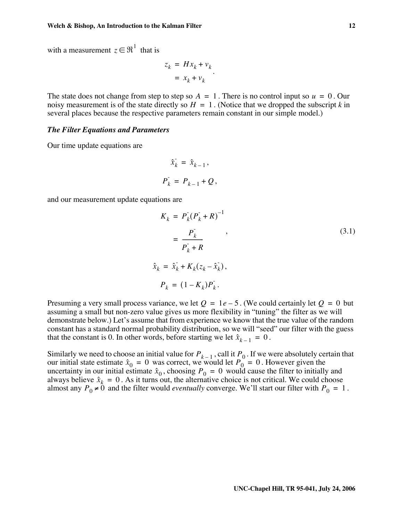with a measurement  $z \in \Re^1$  that is

$$
z_k = Hx_k + v_k
$$
  
=  $x_k + v_k$ 

The state does not change from step to step so  $A = 1$ . There is no control input so  $u = 0$ . Our noisy measurement is of the state directly so  $H = 1$ . (Notice that we dropped the subscript k in several places because the respective parameters remain constant in our simple model.)

### *The Filter Equations and Parameters*

Our time update equations are

$$
\hat{x}_k = \hat{x}_{k-1},
$$
  

$$
P_k = P_{k-1} + Q,
$$

and our measurement update equations are

$$
K_k = P_k (P_k + R)^{-1}
$$
  
\n
$$
= \frac{P_k}{P_k + R}
$$
  
\n
$$
\hat{x}_k = \hat{x}_k + K_k (z_k - \hat{x}_k),
$$
  
\n
$$
P_k = (1 - K_k) P_k.
$$
  
\n(3.1)

Presuming a very small process variance, we let  $Q = 1e-5$ . (We could certainly let  $Q = 0$  but assuming a small but non-zero value gives us more flexibility in "tuning" the filter as we will demonstrate below.) Let's assume that from experience we know that the true value of the random constant has a standard normal probability distribution, so we will "seed" our filter with the guess that the constant is 0. In other words, before starting we let  $\hat{x}_{k-1} = 0$ .

Similarly we need to choose an initial value for  $P_{k-1}$ , call it  $P_0$ . If we were absolutely certain that our initial state estimate  $\hat{x}_0 = 0$  was correct, we would let  $P_0 = 0$ . However given the uncertainty in our initial estimate  $\hat{x}_0$ , choosing  $P_0 = 0$  would cause the filter to initially and always believe  $\hat{x}_k = 0$ . As it turns out, the alternative choice is not critical. We could choose almost any  $P_0 \neq 0$  and the filter would *eventually* converge. We'll start our filter with  $P_0 = 1$ .  $P_{k-1}$ , call it  $P_0$  $\hat{x}_0 = 0$  was correct, we would let  $P_0 = 0$  $\hat{x}_0$ , choosing  $P_0 = 0$  $\hat{x}$ <sub> $k$ </sub> = 0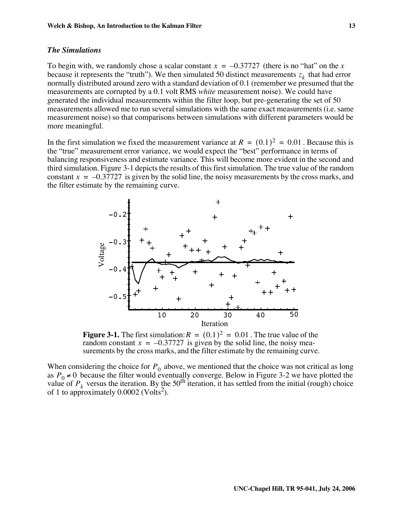### *The Simulations*

To begin with, we randomly chose a scalar constant  $x = -0.37727$  (there is no "hat" on the *x* because it represents the "truth"). We then simulated 50 distinct measurements  $z_k$  that had error normally distributed around zero with a standard deviation of 0.1 (remember we presumed that the measurements are corrupted by a 0.1 volt RMS *white* measurement noise). We could have generated the individual measurements within the filter loop, but pre-generating the set of 50 measurements allowed me to run several simulations with the same exact measurements (i.e. same measurement noise) so that comparisons between simulations with different parameters would be more meaningful.

In the first simulation we fixed the measurement variance at  $R = (0.1)^2 = 0.01$ . Because this is the "true" measurement error variance, we would expect the "best" performance in terms of balancing responsiveness and estimate variance. This will become more evident in the second and third simulation. Figure 3-1 depicts the results of this first simulation. The true value of the random constant  $x = -0.37727$  is given by the solid line, the noisy measurements by the cross marks, and the filter estimate by the remaining curve.



**Figure 3-1.** The first simulation:  $R = (0.1)^2 = 0.01$ . The true value of the random constant  $x = -0.37727$  is given by the solid line, the noisy measurements by the cross marks, and the filter estimate by the remaining curve.

When considering the choice for  $P_0$  above, we mentioned that the choice was not critical as long as  $P_0 \neq 0$  because the filter would eventually converge. Below in Figure 3-2 we have plotted the value of  $P_k$  versus the iteration. By the 50<sup>th</sup> iteration, it has settled from the initial (rough) choice of 1 to approximately  $0.0002$  (Volts<sup>2</sup>).  $P_0 \neq 0$ *Pk*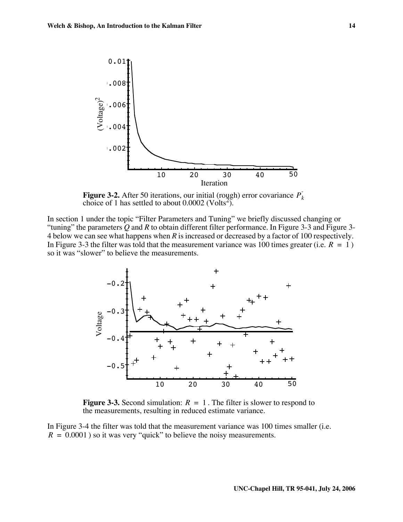

**Figure 3-2.** After 50 iterations, our initial (rough) error covariance  $P_k$ choice of 1 has settled to about  $0.0002$  (Volts<sup>2</sup>).

In section 1 under the topic "Filter Parameters and Tuning" we briefly discussed changing or "tuning" the parameters *Q* and *R* to obtain different filter performance. In Figure 3-3 and Figure 3- 4 below we can see what happens when *R* is increased or decreased by a factor of 100 respectively. In Figure 3-3 the filter was told that the measurement variance was 100 times greater (i.e.  $R = 1$ ) so it was "slower" to believe the measurements.



**Figure 3-3.** Second simulation:  $R = 1$ . The filter is slower to respond to the measurements, resulting in reduced estimate variance.

In Figure 3-4 the filter was told that the measurement variance was 100 times smaller (i.e.  $R = 0.0001$ ) so it was very "quick" to believe the noisy measurements.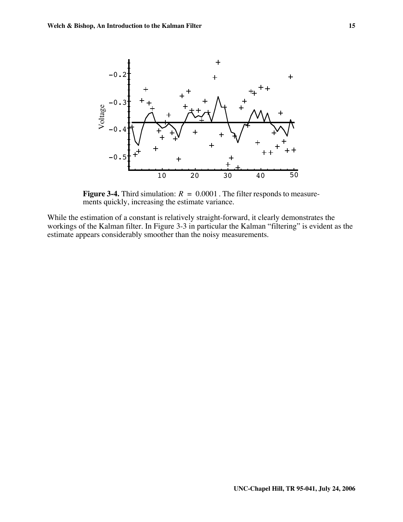

**Figure 3-4.** Third simulation:  $R = 0.0001$  . The filter responds to measurements quickly, increasing the estimate variance.

While the estimation of a constant is relatively straight-forward, it clearly demonstrates the workings of the Kalman filter. In Figure 3-3 in particular the Kalman "filtering" is evident as the estimate appears considerably smoother than the noisy measurements.